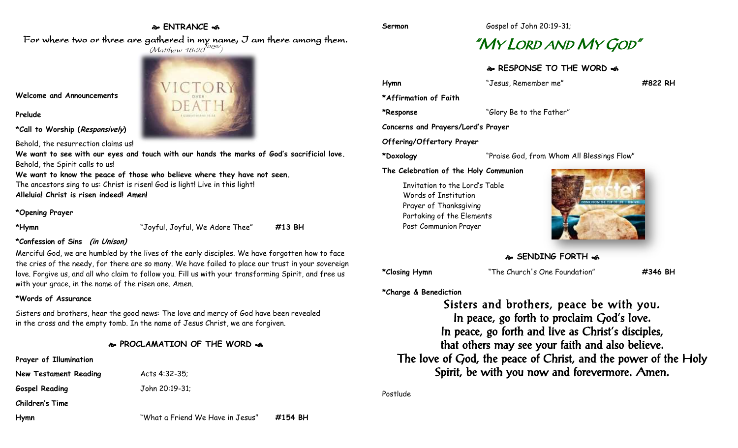### **ENTRANCE**

# "MY LORD AND MY GOD"

**RESPONSE TO THE WORD** 

| Hymn                               | "Jesus, Remember me"                       | #822 RH |
|------------------------------------|--------------------------------------------|---------|
| *Affirmation of Faith              |                                            |         |
| *Response                          | "Glory Be to the Father"                   |         |
| Concerns and Prayers/Lord's Prayer |                                            |         |
| Offering/Offertory Prayer          |                                            |         |
| *Doxology                          | "Praise God, from Whom All Blessings Flow" |         |
|                                    |                                            |         |

**The Celebration of the Holy Communion**

Invitation to the Lord's Table Words of Institution Prayer of Thanksgiving Partaking of the Elements Post Communion Prayer



**SENDING FORTH** 

**\*Closing Hymn** "The Church's One Foundation" **#346 BH**

**\*Charge & Benediction**

Sisters and brothers, peace be with you. In peace, go forth to proclaim God's love. In peace, go forth and live as Christ's disciples, that others may see your faith and also believe. The love of God, the peace of Christ, and the power of the Holy Spirit, be with you now and forevermore. Amen.

Postlude

For where two or three are gathered in my name, I am there among them.  $(M$ atthew 18:20 $^{NRSV})$ 



**Welcome and Announcements**

**Prelude**

**\*Call to Worship (Responsively)** 

Behold, the resurrection claims us!

**We want to see with our eyes and touch with our hands the marks of God's sacrificial love.** Behold, the Spirit calls to us!

**We want to know the peace of those who believe where they have not seen.** The ancestors sing to us: Christ is risen! God is light! Live in this light! **Alleluia! Christ is risen indeed! Amen!**

#### **\*Opening Prayer**

**\*Hymn** "Joyful, Joyful, We Adore Thee" **#13 BH**

#### **\*Confession of Sins (in Unison)**

Merciful God, we are humbled by the lives of the early disciples. We have forgotten how to face the cries of the needy, for there are so many. We have failed to place our trust in your sovereign love. Forgive us, and all who claim to follow you. Fill us with your transforming Spirit, and free us with your grace, in the name of the risen one. Amen.

#### **\*Words of Assurance**

Sisters and brothers, hear the good news: The love and mercy of God have been revealed in the cross and the empty tomb. In the name of Jesus Christ, we are forgiven.

# **PROCLAMATION OF THE WORD**

**Prayer of Illumination**

**New Testament Reading Macts 4:32-35; Gospel Reading** John 20:19-31;

**Children's Time**

**Hymn** "What a Friend We Have in Jesus" **#154 BH**